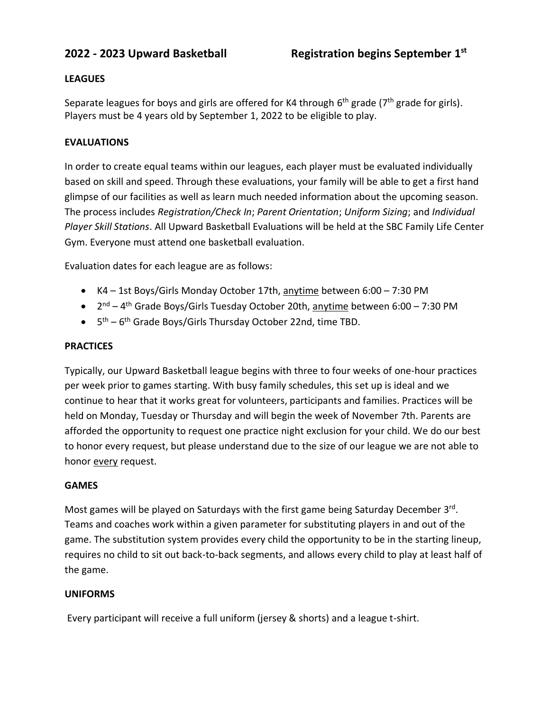# **LEAGUES**

Separate leagues for boys and girls are offered for K4 through 6<sup>th</sup> grade (7<sup>th</sup> grade for girls). Players must be 4 years old by September 1, 2022 to be eligible to play.

# **EVALUATIONS**

In order to create equal teams within our leagues, each player must be evaluated individually based on skill and speed. Through these evaluations, your family will be able to get a first hand glimpse of our facilities as well as learn much needed information about the upcoming season. The process includes *Registration/Check In*; *Parent Orientation*; *Uniform Sizing*; and *Individual Player Skill Stations*. All Upward Basketball Evaluations will be held at the SBC Family Life Center Gym. Everyone must attend one basketball evaluation.

Evaluation dates for each league are as follows:

- K4 1st Boys/Girls Monday October 17th, anytime between 6:00 7:30 PM
- 2<sup>nd</sup> 4<sup>th</sup> Grade Boys/Girls Tuesday October 20th, <u>anytime</u> between 6:00 7:30 PM
- $\bullet$   $5<sup>th</sup> 6<sup>th</sup>$  Grade Boys/Girls Thursday October 22nd, time TBD.

## **PRACTICES**

Typically, our Upward Basketball league begins with three to four weeks of one-hour practices per week prior to games starting. With busy family schedules, this set up is ideal and we continue to hear that it works great for volunteers, participants and families. Practices will be held on Monday, Tuesday or Thursday and will begin the week of November 7th. Parents are afforded the opportunity to request one practice night exclusion for your child. We do our best to honor every request, but please understand due to the size of our league we are not able to honor every request.

## **GAMES**

Most games will be played on Saturdays with the first game being Saturday December 3rd. Teams and coaches work within a given parameter for substituting players in and out of the game. The substitution system provides every child the opportunity to be in the starting lineup, requires no child to sit out back-to-back segments, and allows every child to play at least half of the game.

## **UNIFORMS**

Every participant will receive a full uniform (jersey & shorts) and a league t-shirt.